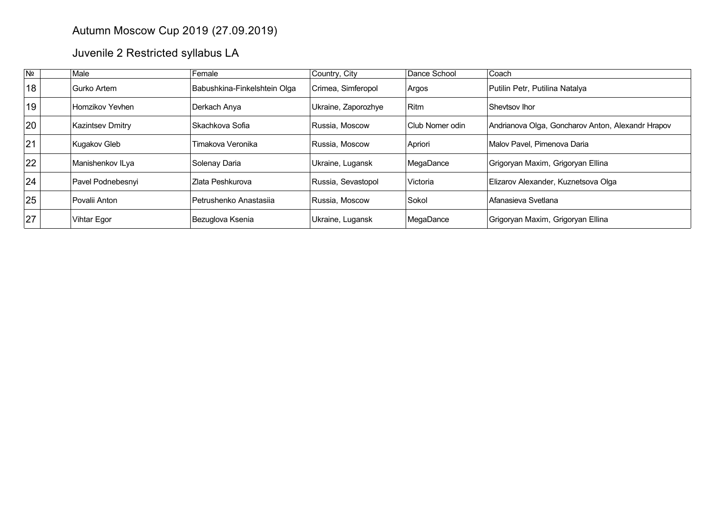## Autumn Moscow Cup 2019 (27.09.2019)

Juvenile 2 Restricted syllabus LA

| N <sub>2</sub> | Male                    | Female                       | Country, City       | Dance School    | Coach                                             |
|----------------|-------------------------|------------------------------|---------------------|-----------------|---------------------------------------------------|
| 18             | Gurko Artem             | Babushkina-Finkelshtein Olga | Crimea, Simferopol  | Argos           | Putilin Petr, Putilina Natalya                    |
| 19             | Homzikov Yevhen         | Derkach Anya                 | Ukraine, Zaporozhye | Ritm            | Shevtsov Ihor                                     |
| 20             | <b>Kazintsev Dmitry</b> | ∣Skachkova Sofia             | Russia, Moscow      | Club Nomer odin | Andrianova Olga, Goncharov Anton, Alexandr Hrapov |
| 21             | Kugakov Gleb            | Timakova Veronika            | Russia, Moscow      | Apriori         | Malov Pavel. Pimenova Daria                       |
| 22             | Manishenkov ILya        | Solenay Daria                | Ukraine, Lugansk    | MegaDance       | Grigoryan Maxim, Grigoryan Ellina                 |
| 24             | Pavel Podnebesnyi       | IZlata Peshkurova            | Russia, Sevastopol  | Victoria        | Elizarov Alexander, Kuznetsova Olga               |
| 25             | Povalii Anton           | Petrushenko Anastasija       | Russia, Moscow      | Sokol           | Afanasieva Svetlana                               |
| 27             | Vihtar Egor             | Bezuglova Ksenia             | Ukraine, Lugansk    | MegaDance       | Grigoryan Maxim, Grigoryan Ellina                 |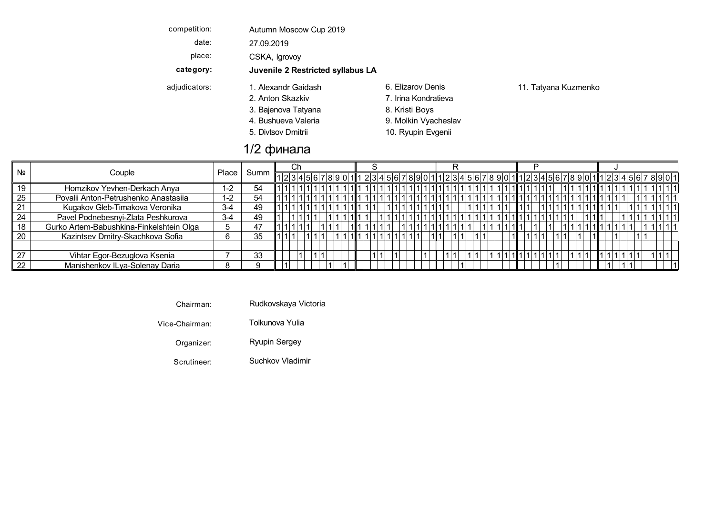competition: Autumn Moscow Cup 2019

date: 27.09.2019

place: CSKA, Igrovoy

**category: Juvenile 2 Restricted syllabus LA**

- adjudicators: 1. Alexandr Gaidash 6. Elizarov Denis 11. Tatyana Kuzmenko
	-
	-
	-
	-
	- 2. Anton Skazkiv 7. Irina Kondratieva 3. Bajenova Tatyana 1988 8. Kristi Boys 4. Bushueva Valeria 1988 - Passaura 19. Molkin Vyacheslav
	- 5. Divtsov Dmitrii 10. Ryupin Evgenii

## 1/2 финала

|    |                                          |         |      | Сh |  |  |  |  |  |  |  |  |  |  |  |  |  |
|----|------------------------------------------|---------|------|----|--|--|--|--|--|--|--|--|--|--|--|--|--|
| Nº | Couple                                   | Place   | Summ |    |  |  |  |  |  |  |  |  |  |  |  |  |  |
| 19 | Homzikov Yevhen-Derkach Anya             | $1 - 2$ | 54   |    |  |  |  |  |  |  |  |  |  |  |  |  |  |
| 25 | Povalii Anton-Petrushenko Anastasiia     | $1 - 2$ | 54   |    |  |  |  |  |  |  |  |  |  |  |  |  |  |
| 21 | Kugakov Gleb-Timakova Veronika           | $3 - 4$ | 49   |    |  |  |  |  |  |  |  |  |  |  |  |  |  |
| 24 | Pavel Podnebesnyi-Zlata Peshkurova       | $3-4$   | 49   |    |  |  |  |  |  |  |  |  |  |  |  |  |  |
| 18 | Gurko Artem-Babushkina-Finkelshtein Olga |         | 47   |    |  |  |  |  |  |  |  |  |  |  |  |  |  |
| 20 | Kazintsev Dmitry-Skachkova Sofia         |         | 35   |    |  |  |  |  |  |  |  |  |  |  |  |  |  |
|    |                                          |         |      |    |  |  |  |  |  |  |  |  |  |  |  |  |  |
| 27 | Vihtar Egor-Bezuglova Ksenia             |         | 33   |    |  |  |  |  |  |  |  |  |  |  |  |  |  |
| 22 | Manishenkov ILya-Solenay Daria           |         | Q    |    |  |  |  |  |  |  |  |  |  |  |  |  |  |

Chairman: Rudkovskaya Victoria

Vice-Chairman: Tolkunova Yulia Bajenova Kristi Viennese V BoysTatyana Waltz

Organizer: Ryupin Sergey Divtsov Ryupin Quickstep Q Dmitrii Evgenii

Scrutineer: Suchkov Vladimir Samba Samba Samba Samba Samba Samba Samba Samba Samba Samba Samba Samba Samba Sam